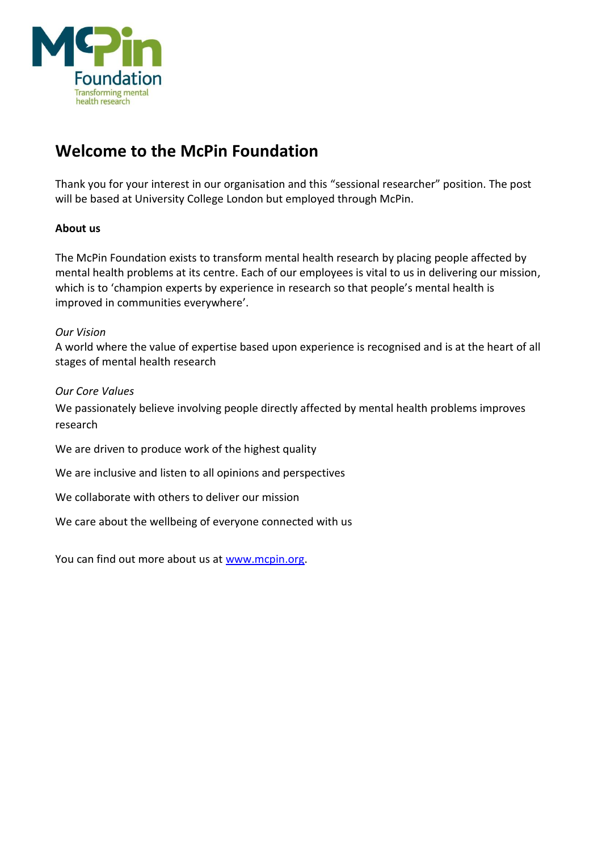

# **Welcome to the McPin Foundation**

Thank you for your interest in our organisation and this "sessional researcher" position. The post will be based at University College London but employed through McPin.

# **About us**

The McPin Foundation exists to transform mental health research by placing people affected by mental health problems at its centre. Each of our employees is vital to us in delivering our mission, which is to 'champion experts by experience in research so that people's mental health is improved in communities everywhere'.

# *Our Vision*

A world where the value of expertise based upon experience is recognised and is at the heart of all stages of mental health research

# *Our Core Values*

We passionately believe involving people directly affected by mental health problems improves research

- We are driven to produce work of the highest quality
- We are inclusive and listen to all opinions and perspectives
- We collaborate with others to deliver our mission
- We care about the wellbeing of everyone connected with us

You can find out more about us at [www.mcpin.org.](http://www.mcpin.org/)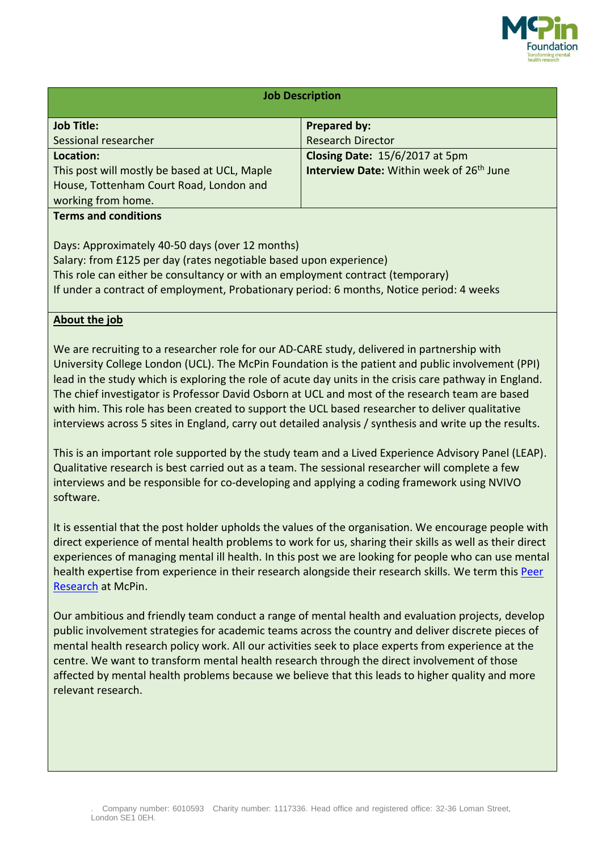

| <b>Job Description</b>                                                                      |                                                             |
|---------------------------------------------------------------------------------------------|-------------------------------------------------------------|
|                                                                                             |                                                             |
| <b>Job Title:</b>                                                                           | <b>Prepared by:</b>                                         |
| Sessional researcher                                                                        | <b>Research Director</b>                                    |
| Location:                                                                                   | Closing Date: 15/6/2017 at 5pm                              |
| This post will mostly be based at UCL, Maple                                                | <b>Interview Date:</b> Within week of 26 <sup>th</sup> June |
| House, Tottenham Court Road, London and                                                     |                                                             |
| working from home.                                                                          |                                                             |
| <b>Terms and conditions</b>                                                                 |                                                             |
|                                                                                             |                                                             |
| Days: Approximately 40-50 days (over 12 months)                                             |                                                             |
| Salary: from £125 per day (rates negotiable based upon experience)                          |                                                             |
| This role can either be consultancy or with an employment contract (temporary)              |                                                             |
| If under a contract of employment, Probationary period: 6 months, Notice period: 4 weeks    |                                                             |
|                                                                                             |                                                             |
| About the job                                                                               |                                                             |
|                                                                                             |                                                             |
| We are recruiting to a researcher role for our AD-CARE study, delivered in partnership with |                                                             |

University College London (UCL). The McPin Foundation is the patient and public involvement (PPI) lead in the study which is exploring the role of acute day units in the crisis care pathway in England. The chief investigator is Professor David Osborn at UCL and most of the research team are based with him. This role has been created to support the UCL based researcher to deliver qualitative interviews across 5 sites in England, carry out detailed analysis / synthesis and write up the results.

This is an important role supported by the study team and a Lived Experience Advisory Panel (LEAP). Qualitative research is best carried out as a team. The sessional researcher will complete a few interviews and be responsible for co-developing and applying a coding framework using NVIVO software.

It is essential that the post holder upholds the values of the organisation. We encourage people with direct experience of mental health problems to work for us, sharing their skills as well as their direct experiences of managing mental ill health. In this post we are looking for people who can use mental health expertise from experience in their research alongside their research skills. We term this [Peer](http://mcpin.org/resources/overview-of-how-we-work/) [Research](http://mcpin.org/resources/overview-of-how-we-work/) at McPin.

Our ambitious and friendly team conduct a range of mental health and evaluation projects, develop public involvement strategies for academic teams across the country and deliver discrete pieces of mental health research policy work. All our activities seek to place experts from experience at the centre. We want to transform mental health research through the direct involvement of those affected by mental health problems because we believe that this leads to higher quality and more relevant research.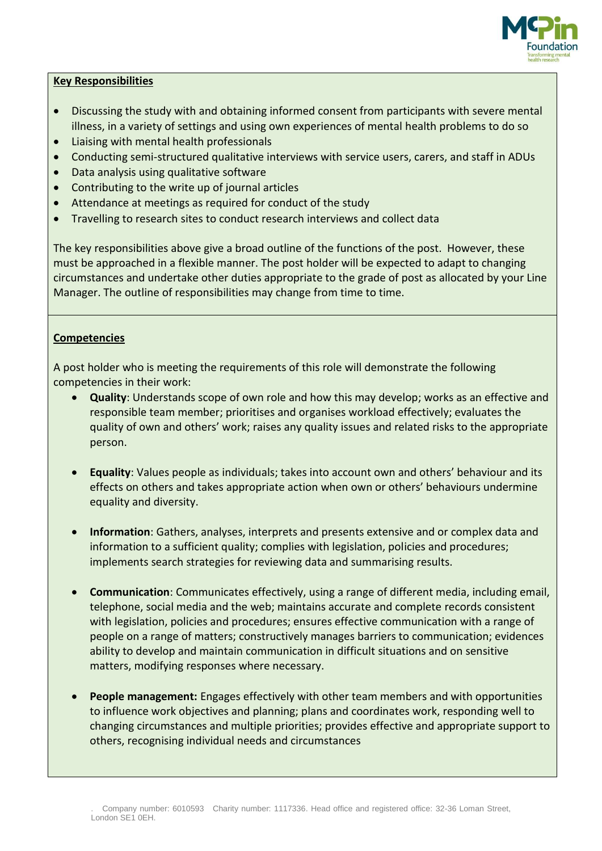

# **Key Responsibilities**

- Discussing the study with and obtaining informed consent from participants with severe mental illness, in a variety of settings and using own experiences of mental health problems to do so
- Liaising with mental health professionals
- Conducting semi-structured qualitative interviews with service users, carers, and staff in ADUs
- Data analysis using qualitative software
- Contributing to the write up of journal articles
- Attendance at meetings as required for conduct of the study
- Travelling to research sites to conduct research interviews and collect data

The key responsibilities above give a broad outline of the functions of the post. However, these must be approached in a flexible manner. The post holder will be expected to adapt to changing circumstances and undertake other duties appropriate to the grade of post as allocated by your Line Manager. The outline of responsibilities may change from time to time.

#### **Competencies**

A post holder who is meeting the requirements of this role will demonstrate the following competencies in their work:

- **Quality**: Understands scope of own role and how this may develop; works as an effective and responsible team member; prioritises and organises workload effectively; evaluates the quality of own and others' work; raises any quality issues and related risks to the appropriate person.
- **Equality**: Values people as individuals; takes into account own and others' behaviour and its effects on others and takes appropriate action when own or others' behaviours undermine equality and diversity.
- **Information**: Gathers, analyses, interprets and presents extensive and or complex data and information to a sufficient quality; complies with legislation, policies and procedures; implements search strategies for reviewing data and summarising results.
- **Communication**: Communicates effectively, using a range of different media, including email, telephone, social media and the web; maintains accurate and complete records consistent with legislation, policies and procedures; ensures effective communication with a range of people on a range of matters; constructively manages barriers to communication; evidences ability to develop and maintain communication in difficult situations and on sensitive matters, modifying responses where necessary.
- **People management:** Engages effectively with other team members and with opportunities to influence work objectives and planning; plans and coordinates work, responding well to changing circumstances and multiple priorities; provides effective and appropriate support to others, recognising individual needs and circumstances